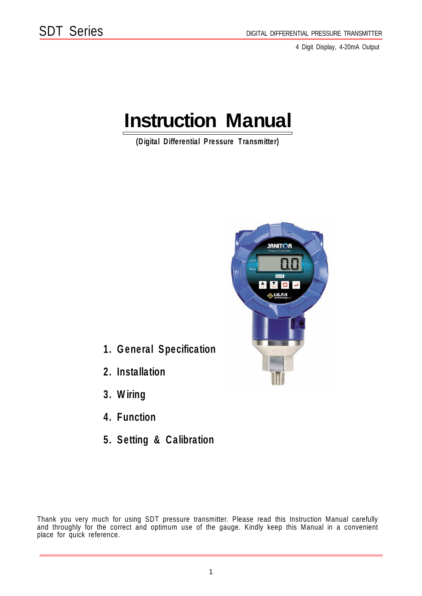4 Digit Display, 4-20mA Output

# **Instruction Manual**

(Digital Differential Pressure Transmitter)



- 1. General Specification
- 2. Installation
- 3. Wiring
- 4. Function
- 5. Setting & Calibration

Thank you very much for using SDT pressure transmitter. Please read this Instruction Manual carefully and throughly for the correct and optimum use of the gauge. Kindly keep this Manual in a convenient place for quick reference.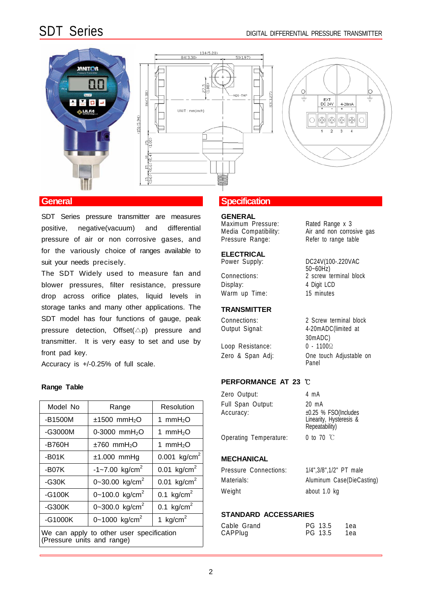DC24V(100-.220VAC

 $50 - 60$ Hz)

30mADC)

Panel



SDT Series pressure transmitter are measures positive, negative(vacuum) and differential pressure of air or non corrosive gases, and for the variously choice of ranges available to suit your needs precisely.

The SDT Widely used to measure fan and blower pressures, filter resistance, pressure drop across orifice plates, liquid levels in storage tanks and many other applications. The SDT model has four functions of gauge, peak pressure detection,  $Offset(\triangle p)$  pressure and transmitter. It is very easy to set and use by front pad key.

Accuracy is +/-0.25% of full scale.

| Model No                                                               | Range                          | Resolution               | Full Span Output:<br>Accuracy: | 20 mA<br>$±0.25$ % FSO(Includes       |
|------------------------------------------------------------------------|--------------------------------|--------------------------|--------------------------------|---------------------------------------|
| -B1500M                                                                | $±1500$ mmH <sub>2</sub> O     | 1 mm $H_2O$              |                                | Linearity, Hysteresis &               |
| $-G3000M$                                                              | 0-3000 mmH <sub>2</sub> O      | mmH <sub>2</sub> O       | Operating Temperature:         | Repeatability)<br>0 to 70 $\degree$ C |
| -B760H                                                                 | $±760$ mmH <sub>2</sub> O      | mmH <sub>2</sub> O       |                                |                                       |
| $-B01K$                                                                | $±1.000$ mmHg                  | 0.001 kg/cm <sup>2</sup> | <b>MECHANICAL</b>              |                                       |
| $-B07K$                                                                | $-1 - 7.00$ kg/cm <sup>2</sup> | 0.01 $kg/cm^{2}$         | Pressure Connections:          | 1/4", 3/8", 1/2" PT male              |
| $-G30K$                                                                | 0~30.00 kg/cm <sup>2</sup>     | 0.01 $kg/cm2$            | Materials:                     | Aluminum Case(DieCasting)             |
| $-G100K$                                                               | 0~100.0 kg/cm <sup>2</sup>     | 0.1 kg/cm <sup>2</sup>   | Weight                         | about 1.0 kg                          |
| $-G300K$                                                               | 0~300.0 kg/cm <sup>2</sup>     | 0.1 kg/cm <sup>2</sup>   |                                |                                       |
| $-G1000K$                                                              | 0~1000 kg/cm <sup>2</sup>      | 1 kg/cm <sup>2</sup>     | <b>STANDARD ACCESSARIES</b>    |                                       |
| We can apply to other user specification<br>(Pressure units and range) |                                |                          | Cable Grand<br>CAPPlug         | PG 13.5<br>1ea<br>PG.<br>13.5<br>1ea  |

### **General General Specification**

**GENERAL** Maximum Pressure: Rated Range x 3

Media Compatibility: Air and non corrosive gas Pressure Range: Refer to range table

# **ELECTRICAL**<br>Power Supply:

Connections: 2 screw terminal block Display: 4 Digit LCD Warm up Time: 15 minutes

### **TRANSMITTER**

Connections: 2 Screw terminal block Output Signal: 4-20mADC(limited at

Loop Resistance: 0 - 1100Ω Zero & Span Adj: One touch Adjustable on

## **PERFORMANCE AT 23** ℃ **Range Table**

| Zero Output:                   | 4 mA                                                                         |
|--------------------------------|------------------------------------------------------------------------------|
| Full Span Output:<br>Accuracy: | 20 mA<br>$±0.25$ % FSO(Includes<br>Linearity, Hysteresis &<br>Repeatability) |
| Operating Temperature:         | 0 to 70 $\degree$ C                                                          |

### **MECHANICAL**

| Pressure Connections: | 1/4", 3/8", 1/2" PT male  |
|-----------------------|---------------------------|
| Materials:            | Aluminum Case(DieCasting) |
| Neight                | about 1.0 kg              |

### **STANDARD ACCESSARIES**

| Cable Grand | PG 13.5 | 1ea |
|-------------|---------|-----|
| CAPPlug     | PG 13.5 | 1ea |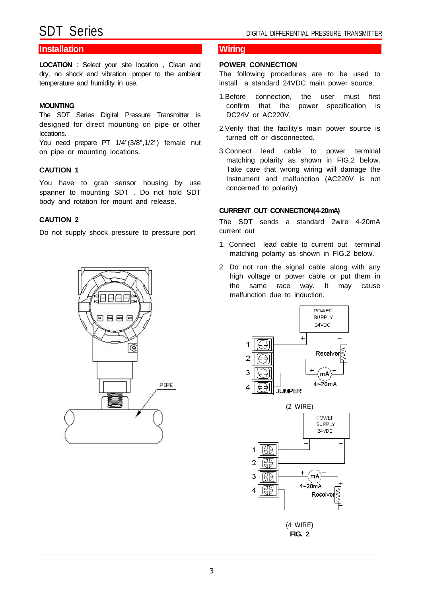### **Installation Wiring**

**LOCATION** : Select your site location , Clean and dry, no shock and vibration, proper to the ambient temperature and humidity in use.

### **MOUNTING**

The SDT Series Digital Pressure Transmitter is designed for direct mounting on pipe or other locations.

You need prepare PT 1/4"(3/8",1/2") female nut on pipe or mounting locations.

### **CAUTION 1**

You have to grab sensor housing by use spanner to mounting SDT . Do not hold SDT body and rotation for mount and release.

### **CAUTION 2**

Do not supply shock pressure to pressure port



### **POWER CONNECTION**

The following procedures are to be used to install a standard 24VDC main power source.

- 1.Before connection, the user must first confirm that the power specification is DC24V or AC220V.
- 2.Verify that the facility's main power source is turned off or disconnected.
- 3.Connect lead cable to power terminal matching polarity as shown in FIG.2 below. Take care that wrong wiring will damage the Instrument and malfunction (AC220V is not concerned to polarity)

### **CURRENT OUT CONNECTION(4-20mA)**

The SDT sends a standard 2wire 4-20mA current out

- 1. Connect lead cable to current out terminal matching polarity as shown in FIG.2 below.
- 2. Do not run the signal cable along with any high voltage or power cable or put them in the same race way. It may cause malfunction due to induction.

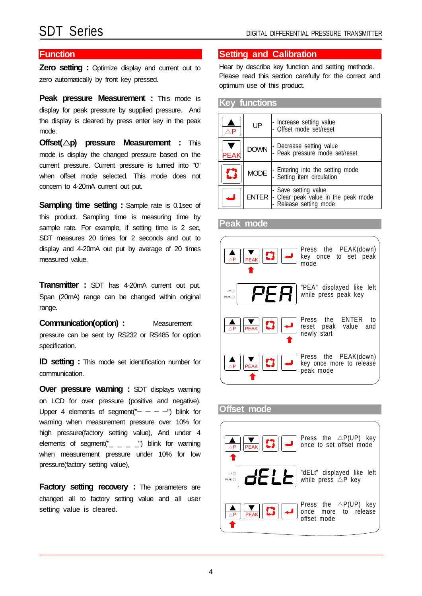**Zero setting :** Optimize display and current out to zero automatically by front key pressed.

**Peak pressure Measurement :** This mode is display for peak pressure by supplied pressure. And the display is cleared by press enter key in the peak mode.

**Offset(**  $\triangle$ **p) pressure Measurement :** This mode is display the changed pressure based on the current pressure. Current pressure is turned into "0" when offset mode selected. This mode does not concern to 4-20mA current out put.

**Sampling time setting :** Sample rate is 0.1sec of this product. Sampling time is measuring time by sample rate. For example, if setting time is 2 sec, SDT measures 20 times for 2 seconds and out to display and 4-20mA out put by average of 20 times measured value.

**Transmitter :** SDT has 4-20mA current out put. Span (20mA) range can be changed within original range.

**Communication(option) :** Measurement pressure can be sent by RS232 or RS485 for option specification.

**ID setting :** This mode set identification number for communication.

**Over pressure warning : SDT displays warning** on LCD for over pressure (positive and negative). Upper 4 elements of segment(" $- - -$ ") blink for warning when measurement pressure over 10% for high pressure(factory setting value), And under 4 elements of segment(" $\_$   $\_$   $\_$   $\_$   $\_$  blink for warning when measurement pressure under 10% for low pressure(factory setting value),

**Factory setting recovery :** The parameters are changed all to factory setting value and all user setting value is cleared.

### **Function Setting and Calibration**

Hear by describe key function and setting methode. Please read this section carefully for the correct and optimum use of this product.

### **Key functions**

| $\wedge$ P  | UP | - Increase setting value<br>- Offset mode set/reset                                                  |
|-------------|----|------------------------------------------------------------------------------------------------------|
| <b>PEAK</b> |    | DOWN - Decrease setting value<br>- Peak pressure mode set/reset                                      |
| Z.          |    | $MODE$ $\left  \cdot \right.$ Entering into the setting mode                                         |
|             |    | ENTER  - Save setting value<br>ENTER  - Clear peak value in the peak mode<br> - Release setting mode |

### **Peak mode**



### **Offset mode**

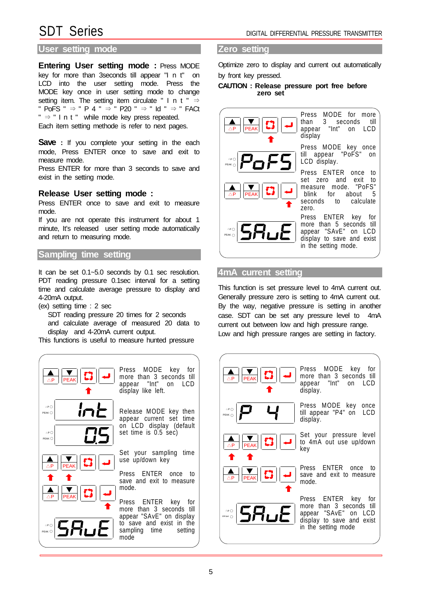### **User setting mode Zero setting**

**Entering User setting mode :** Press MODE key for more than 3seconds till appear "I n t" on LCD into the user setting mode. Press the MODE key once in user setting mode to change setting item. The setting item circulate " I n t "  $\Rightarrow$ " PoFS "  $\Rightarrow$  " P 4 "  $\Rightarrow$  " P20 "  $\Rightarrow$  " Id "  $\Rightarrow$  " FACt  $" \Rightarrow$  " I n t " while mode key press repeated. Each item setting methode is refer to next pages.

**Save** : If you complete your setting in the each mode, Press ENTER once to save and exit to measure mode.

Press ENTER for more than 3 seconds to save and exist in the setting mode.

### **Release User setting mode :**

Press ENTER once to save and exit to measure mode.

If you are not operate this instrument for about 1 minute, It's released user setting mode automatically and return to measuring mode.

### **Sampling time setting**

It can be set 0.1~5.0 seconds by 0.1 sec resolution. PDT reading pressure 0.1sec interval for a setting time and calculate average pressure to display and 4-20mA output.

- (ex) setting time : 2 sec
	- SDT reading pressure 20 times for 2 seconds

and calculate average of measured 20 data to display and 4-20mA current output.

This functions is useful to measure hunted pressure



Optimize zero to display and current out automatically by front key pressed.

### **CAUTION : Release pressure port free before zero set**

| PEAK T                                                            | Press MODE for more<br>than 3 seconds<br>till<br>appear "Int" on LCD<br>display                                                        |
|-------------------------------------------------------------------|----------------------------------------------------------------------------------------------------------------------------------------|
| $\log$ $P$ of5                                                    | Press MODE key once<br>till appear "PoFS"<br>on<br>LCD display.                                                                        |
| $\frac{\mathbf{A}}{\Delta P}$ PEAK $\left \mathbf{\Sigma}\right $ | Press ENTER once<br>to<br>set zero and exit<br>to<br>measure mode. "PoFS"<br>blink for about<br>-5<br>seconds to<br>calculate<br>zero. |
| $\frac{1}{\log  S H_{\text{L}} E }$                               | Press ENTER key for<br>more than 5 seconds till<br>appear "SAvE" on LCD<br>display to save and exist<br>in the setting mode.           |
|                                                                   |                                                                                                                                        |

### **4mA current setting**

This function is set pressure level to 4mA current out. Generally pressure zero is setting to 4mA current out. By the way, negative pressure is setting in another case. SDT can be set any pressure level to 4mA current out between low and high pressure range.

Low and high pressure ranges are setting in factory.